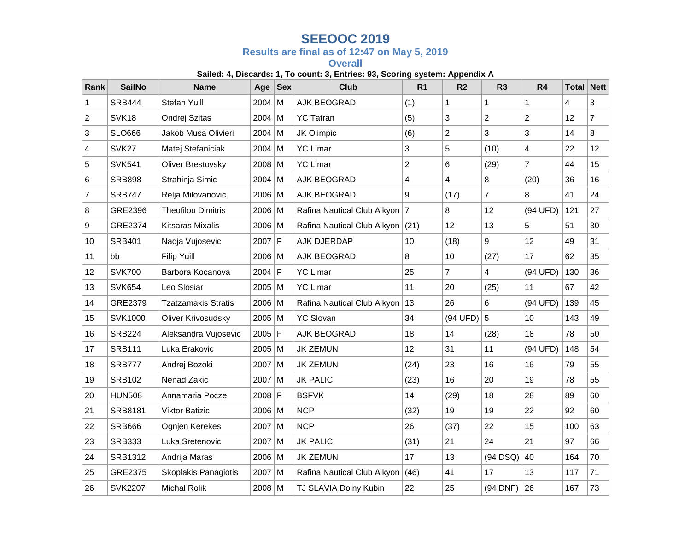## **SEEOOC 2019**

## **Results are final as of 12:47 on May 5, 2019**

**Overall**

## **Sailed: 4, Discards: 1, To count: 3, Entries: 93, Scoring system: Appendix A**

| Rank | <b>SailNo</b>     | <b>Name</b>                | Age      | <b>Sex</b> | <b>Club</b>                   | R <sub>1</sub> | R <sub>2</sub> | R <sub>3</sub>   | R4             | <b>Total Nett</b> |                |
|------|-------------------|----------------------------|----------|------------|-------------------------------|----------------|----------------|------------------|----------------|-------------------|----------------|
| 1    | <b>SRB444</b>     | Stefan Yuill               | $2004$ M |            | AJK BEOGRAD                   | (1)            | 1              | 1                | $\mathbf{1}$   | 4                 | 3              |
| 2    | SVK <sub>18</sub> | Ondrej Szitas              | $2004$ M |            | <b>YC Tatran</b>              | (5)            | 3              | $\overline{2}$   | $\overline{2}$ | 12                | $\overline{7}$ |
| 3    | <b>SLO666</b>     | Jakob Musa Olivieri        | $2004$ M |            | JK Olimpic                    | (6)            | $\overline{2}$ | 3                | 3              | 14                | 8              |
| 4    | SVK27             | Matej Stefaniciak          | $2004$ M |            | <b>YC Limar</b>               | 3              | 5              | (10)             | 4              | 22                | 12             |
| 5    | <b>SVK541</b>     | Oliver Brestovsky          | $2008$ M |            | <b>YC Limar</b>               | $\overline{2}$ | 6              | (29)             | $\overline{7}$ | 44                | 15             |
| 6    | <b>SRB898</b>     | Strahinja Simic            | $2004$ M |            | AJK BEOGRAD                   | 4              | $\overline{4}$ | 8                | (20)           | 36                | 16             |
| 7    | <b>SRB747</b>     | Relja Milovanovic          | $2006$ M |            | AJK BEOGRAD                   | 9              | (17)           | $\overline{7}$   | 8              | 41                | 24             |
| 8    | GRE2396           | <b>Theofilou Dimitris</b>  | $2006$ M |            | Rafina Nautical Club Alkyon 7 |                | 8              | 12               | (94 UFD)       | 121               | 27             |
| 9    | GRE2374           | <b>Kitsaras Mixalis</b>    | $2006$ M |            | Rafina Nautical Club Alkyon   | (21)           | 12             | 13               | 5              | 51                | 30             |
| 10   | <b>SRB401</b>     | Nadja Vujosevic            | $2007$ F |            | AJK DJERDAP                   | 10             | (18)           | $\boldsymbol{9}$ | 12             | 49                | 31             |
| 11   | bb                | Filip Yuill                | $2006$ M |            | AJK BEOGRAD                   | 8              | 10             | (27)             | 17             | 62                | 35             |
| 12   | <b>SVK700</b>     | Barbora Kocanova           | $2004$ F |            | <b>YC Limar</b>               | 25             | $\overline{7}$ | 4                | (94 UFD)       | 130               | 36             |
| 13   | <b>SVK654</b>     | Leo Slosiar                | $2005$ M |            | <b>YC Limar</b>               | 11             | 20             | (25)             | 11             | 67                | 42             |
| 14   | GRE2379           | <b>Tzatzamakis Stratis</b> | $2006$ M |            | Rafina Nautical Club Alkyon   | 13             | 26             | 6                | (94 UFD)       | 139               | 45             |
| 15   | SVK1000           | Oliver Krivosudsky         | $2005$ M |            | <b>YC Slovan</b>              | 34             | (94 UFD)       | 5                | 10             | 143               | 49             |
| 16   | <b>SRB224</b>     | Aleksandra Vujosevic       | $2005$ F |            | AJK BEOGRAD                   | 18             | 14             | (28)             | 18             | 78                | 50             |
| 17   | <b>SRB111</b>     | Luka Erakovic              | $2005$ M |            | <b>JK ZEMUN</b>               | 12             | 31             | 11               | (94 UFD)       | 148               | 54             |
| 18   | <b>SRB777</b>     | Andrej Bozoki              | $2007$ M |            | <b>JK ZEMUN</b>               | (24)           | 23             | 16               | 16             | 79                | 55             |
| 19   | <b>SRB102</b>     | Nenad Zakic                | $2007$ M |            | <b>JK PALIC</b>               | (23)           | 16             | 20               | 19             | 78                | 55             |
| 20   | <b>HUN508</b>     | Annamaria Pocze            | $2008$ F |            | <b>BSFVK</b>                  | 14             | (29)           | 18               | 28             | 89                | 60             |
| 21   | <b>SRB8181</b>    | <b>Viktor Batizic</b>      | $2006$ M |            | <b>NCP</b>                    | (32)           | 19             | 19               | 22             | 92                | 60             |
| 22   | <b>SRB666</b>     | Ognjen Kerekes             | $2007$ M |            | <b>NCP</b>                    | 26             | (37)           | 22               | 15             | 100               | 63             |
| 23   | <b>SRB333</b>     | Luka Sretenovic            | $2007$ M |            | <b>JK PALIC</b>               | (31)           | 21             | 24               | 21             | 97                | 66             |
| 24   | SRB1312           | Andrija Maras              | $2006$ M |            | <b>JK ZEMUN</b>               | 17             | 13             | $(94$ DSQ)       | 40             | 164               | 70             |
| 25   | GRE2375           | Skoplakis Panagiotis       | $2007$ M |            | Rafina Nautical Club Alkyon   | (46)           | 41             | 17               | 13             | 117               | 71             |
| 26   | <b>SVK2207</b>    | <b>Michal Rolik</b>        | $2008$ M |            | TJ SLAVIA Dolny Kubin         | 22             | 25             | (94 DNF)         | 26             | 167               | 73             |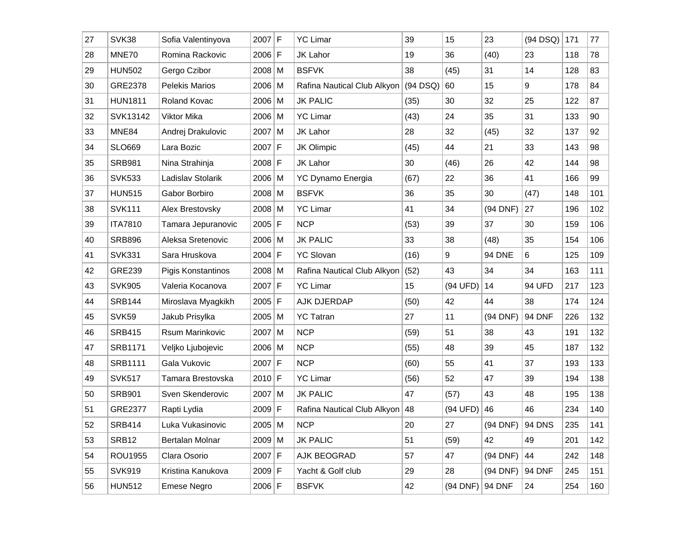| 27 | SVK38          | Sofia Valentinyova    | $2007$ F |   | <b>YC Limar</b>                | 39         | 15       | 23                | (94 DSQ)      | 171 | 77  |
|----|----------------|-----------------------|----------|---|--------------------------------|------------|----------|-------------------|---------------|-----|-----|
| 28 | MNE70          | Romina Rackovic       | $2006$ F |   | JK Lahor                       | 19         | 36       | (40)              | 23            | 118 | 78  |
| 29 | <b>HUN502</b>  | Gergo Czibor          | $2008$ M |   | <b>BSFVK</b>                   | 38         | (45)     | 31                | 14            | 128 | 83  |
| 30 | GRE2378        | <b>Pelekis Marios</b> | $2006$ M |   | Rafina Nautical Club Alkyon    | $(94$ DSQ) | 60       | 15                | 9             | 178 | 84  |
| 31 | <b>HUN1811</b> | Roland Kovac          | $2006$ M |   | <b>JK PALIC</b>                | (35)       | 30       | 32                | 25            | 122 | 87  |
| 32 | SVK13142       | Viktor Mika           | $2006$ M |   | <b>YC Limar</b>                | (43)       | 24       | 35                | 31            | 133 | 90  |
| 33 | MNE84          | Andrej Drakulovic     | $2007$ M |   | JK Lahor                       | 28         | 32       | (45)              | 32            | 137 | 92  |
| 34 | <b>SLO669</b>  | Lara Bozic            | 2007     | F | JK Olimpic                     | (45)       | 44       | 21                | 33            | 143 | 98  |
| 35 | <b>SRB981</b>  | Nina Strahinja        | $2008$ F |   | <b>JK Lahor</b>                | 30         | (46)     | 26                | 42            | 144 | 98  |
| 36 | <b>SVK533</b>  | Ladislav Stolarik     | 2006 M   |   | <b>YC Dynamo Energia</b>       | (67)       | 22       | 36                | 41            | 166 | 99  |
| 37 | <b>HUN515</b>  | Gabor Borbiro         | $2008$ M |   | <b>BSFVK</b>                   | 36         | 35       | 30                | (47)          | 148 | 101 |
| 38 | <b>SVK111</b>  | Alex Brestovsky       | $2008$ M |   | <b>YC Limar</b>                | 41         | 34       | (94 DNF)          | 27            | 196 | 102 |
| 39 | <b>ITA7810</b> | Tamara Jepuranovic    | $2005$ F |   | <b>NCP</b>                     | (53)       | 39       | 37                | 30            | 159 | 106 |
| 40 | <b>SRB896</b>  | Aleksa Sretenovic     | $2006$ M |   | <b>JK PALIC</b>                | 33         | 38       | (48)              | 35            | 154 | 106 |
| 41 | <b>SVK331</b>  | Sara Hruskova         | $2004$ F |   | <b>YC Slovan</b>               | (16)       | 9        | <b>94 DNE</b>     | 6             | 125 | 109 |
| 42 | <b>GRE239</b>  | Pigis Konstantinos    | $2008$ M |   | Rafina Nautical Club Alkyon    | (52)       | 43       | 34                | 34            | 163 | 111 |
| 43 | <b>SVK905</b>  | Valeria Kocanova      | $2007$ F |   | <b>YC Limar</b>                | 15         | (94 UFD) | 14                | 94 UFD        | 217 | 123 |
| 44 | <b>SRB144</b>  | Miroslava Myagkikh    | $2005$ F |   | AJK DJERDAP                    | (50)       | 42       | 44                | 38            | 174 | 124 |
| 45 | <b>SVK59</b>   | Jakub Prisylka        | $2005$ M |   | <b>YC Tatran</b>               | 27         | 11       | (94 DNF)          | <b>94 DNF</b> | 226 | 132 |
| 46 | <b>SRB415</b>  | Rsum Marinkovic       | 2007     | M | <b>NCP</b>                     | (59)       | 51       | 38                | 43            | 191 | 132 |
| 47 | <b>SRB1171</b> | Veljko Ljubojevic     | 2006 M   |   | <b>NCP</b>                     | (55)       | 48       | 39                | 45            | 187 | 132 |
| 48 | <b>SRB1111</b> | Gala Vukovic          | $2007$ F |   | <b>NCP</b>                     | (60)       | 55       | 41                | 37            | 193 | 133 |
| 49 | <b>SVK517</b>  | Tamara Brestovska     | $2010$ F |   | <b>YC Limar</b>                | (56)       | 52       | 47                | 39            | 194 | 138 |
| 50 | <b>SRB901</b>  | Sven Skenderovic      | $2007$ M |   | <b>JK PALIC</b>                | 47         | (57)     | 43                | 48            | 195 | 138 |
| 51 | <b>GRE2377</b> | Rapti Lydia           | $2009$ F |   | Rafina Nautical Club Alkyon 48 |            | (94 UFD) | 46                | 46            | 234 | 140 |
| 52 | SRB414         | Luka Vukasinovic      | $2005$ M |   | <b>NCP</b>                     | 20         | 27       | (94 DNF)   94 DNS |               | 235 | 141 |
| 53 | SRB12          | Bertalan Molnar       | $2009$ M |   | <b>JK PALIC</b>                | 51         | (59)     | 42                | 49            | 201 | 142 |
| 54 | <b>ROU1955</b> | Clara Osorio          | $2007$ F |   | AJK BEOGRAD                    | 57         | 47       | (94 DNF)          | 44            | 242 | 148 |
| 55 | <b>SVK919</b>  | Kristina Kanukova     | $2009$ F |   | Yacht & Golf club              | 29         | 28       | (94 DNF)          | <b>94 DNF</b> | 245 | 151 |
| 56 | <b>HUN512</b>  | Emese Negro           | $2006$ F |   | <b>BSFVK</b>                   | 42         | (94 DNF) | <b>94 DNF</b>     | 24            | 254 | 160 |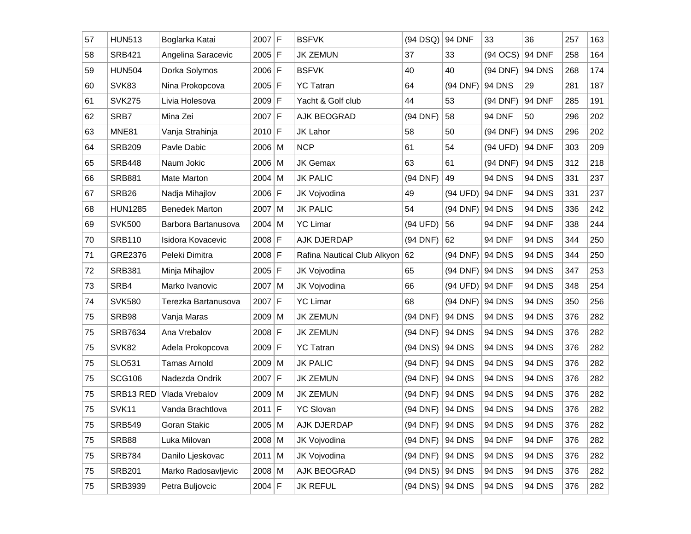| 57 | <b>HUN513</b>     | Boglarka Katai        | $2007$ F |             | <b>BSFVK</b>                | $(94$ DSQ)                | <b>94 DNF</b> | 33            | 36            | 257 | 163 |
|----|-------------------|-----------------------|----------|-------------|-----------------------------|---------------------------|---------------|---------------|---------------|-----|-----|
| 58 | <b>SRB421</b>     | Angelina Saracevic    | $2005$ F |             | <b>JK ZEMUN</b>             | 37                        | 33            | $(94$ OCS)    | <b>94 DNF</b> | 258 | 164 |
| 59 | <b>HUN504</b>     | Dorka Solymos         | $2006$ F |             | <b>BSFVK</b>                | 40                        | 40            | (94 DNF)      | <b>94 DNS</b> | 268 | 174 |
| 60 | SVK83             | Nina Prokopcova       | $2005$ F |             | <b>YC Tatran</b>            | 64                        | (94 DNF)      | <b>94 DNS</b> | 29            | 281 | 187 |
| 61 | <b>SVK275</b>     | Livia Holesova        | $2009$ F |             | Yacht & Golf club           | 44                        | 53            | (94 DNF)      | 94 DNF        | 285 | 191 |
| 62 | SRB7              | Mina Zei              | 2007 F   |             | AJK BEOGRAD                 | (94 DNF)                  | 58            | 94 DNF        | 50            | 296 | 202 |
| 63 | MNE81             | Vanja Strahinja       | $2010$ F |             | JK Lahor                    | 58                        | 50            | (94 DNF)      | <b>94 DNS</b> | 296 | 202 |
| 64 | <b>SRB209</b>     | Pavle Dabic           | $2006$ M |             | <b>NCP</b>                  | 61                        | 54            | (94 UFD)      | 94 DNF        | 303 | 209 |
| 65 | <b>SRB448</b>     | Naum Jokic            | $2006$ M |             | <b>JK Gemax</b>             | 63                        | 61            | (94 DNF)      | <b>94 DNS</b> | 312 | 218 |
| 66 | <b>SRB881</b>     | Mate Marton           | $2004$ M |             | <b>JK PALIC</b>             | (94 DNF)                  | 49            | <b>94 DNS</b> | <b>94 DNS</b> | 331 | 237 |
| 67 | SRB <sub>26</sub> | Nadja Mihajlov        | 2006 F   |             | JK Vojvodina                | 49                        | (94 UFD)      | <b>94 DNF</b> | <b>94 DNS</b> | 331 | 237 |
| 68 | <b>HUN1285</b>    | <b>Benedek Marton</b> | $2007$ M |             | <b>JK PALIC</b>             | 54                        | $(94$ DNF)    | <b>94 DNS</b> | <b>94 DNS</b> | 336 | 242 |
| 69 | <b>SVK500</b>     | Barbora Bartanusova   | $2004$ M |             | <b>YC Limar</b>             | (94 UFD)                  | 56            | 94 DNF        | 94 DNF        | 338 | 244 |
| 70 | <b>SRB110</b>     | Isidora Kovacevic     | $2008$ F |             | AJK DJERDAP                 | $(94$ DNF)                | 62            | 94 DNF        | <b>94 DNS</b> | 344 | 250 |
| 71 | GRE2376           | Peleki Dimitra        | $2008$ F |             | Rafina Nautical Club Alkyon | 62                        | (94 DNF)      | <b>94 DNS</b> | <b>94 DNS</b> | 344 | 250 |
| 72 | <b>SRB381</b>     | Minja Mihajlov        | $2005$ F |             | JK Vojvodina                | 65                        | (94 DNF)      | <b>94 DNS</b> | <b>94 DNS</b> | 347 | 253 |
| 73 | SRB4              | Marko Ivanovic        | $2007$ M |             | JK Vojvodina                | 66                        | (94 UFD)      | <b>94 DNF</b> | <b>94 DNS</b> | 348 | 254 |
| 74 | <b>SVK580</b>     | Terezka Bartanusova   | 2007     | $\mathsf F$ | <b>YC Limar</b>             | 68                        | (94 DNF)      | <b>94 DNS</b> | <b>94 DNS</b> | 350 | 256 |
| 75 | SRB98             | Vanja Maras           | $2009$ M |             | <b>JK ZEMUN</b>             | (94 DNF)                  | <b>94 DNS</b> | <b>94 DNS</b> | <b>94 DNS</b> | 376 | 282 |
| 75 | <b>SRB7634</b>    | Ana Vrebalov          | $2008$ F |             | <b>JK ZEMUN</b>             | (94 DNF)                  | <b>94 DNS</b> | <b>94 DNS</b> | <b>94 DNS</b> | 376 | 282 |
| 75 | <b>SVK82</b>      | Adela Prokopcova      | $2009$ F |             | <b>YC Tatran</b>            | $(94$ DNS)                | <b>94 DNS</b> | <b>94 DNS</b> | <b>94 DNS</b> | 376 | 282 |
| 75 | <b>SLO531</b>     | <b>Tamas Arnold</b>   | $2009$ M |             | <b>JK PALIC</b>             | (94 DNF)                  | <b>94 DNS</b> | <b>94 DNS</b> | <b>94 DNS</b> | 376 | 282 |
| 75 | <b>SCG106</b>     | Nadezda Ondrik        | 2007     | $\mathsf F$ | <b>JK ZEMUN</b>             | (94 DNF)                  | <b>94 DNS</b> | <b>94 DNS</b> | <b>94 DNS</b> | 376 | 282 |
| 75 | SRB13 RED         | Vlada Vrebalov        | $2009$ M |             | <b>JK ZEMUN</b>             | (94 DNF)                  | <b>94 DNS</b> | <b>94 DNS</b> | <b>94 DNS</b> | 376 | 282 |
| 75 | SVK11             | Vanda Brachtlova      | 2011     | F           | <b>YC Slovan</b>            | (94 DNF)                  | <b>94 DNS</b> | <b>94 DNS</b> | <b>94 DNS</b> | 376 | 282 |
| 75 | <b>SRB549</b>     | Goran Stakic          | $2005$ M |             | AJK DJERDAP                 | $(94$ DNF) $\vert$ 94 DNS |               | <b>94 DNS</b> | <b>94 DNS</b> | 376 | 282 |
| 75 | SRB88             | Luka Milovan          | $2008$ M |             | JK Vojvodina                | (94 DNF)                  | <b>94 DNS</b> | 94 DNF        | 94 DNF        | 376 | 282 |
| 75 | <b>SRB784</b>     | Danilo Ljeskovac      | $2011$ M |             | JK Vojvodina                | (94 DNF)                  | <b>94 DNS</b> | <b>94 DNS</b> | <b>94 DNS</b> | 376 | 282 |
| 75 | <b>SRB201</b>     | Marko Radosavljevic   | $2008$ M |             | AJK BEOGRAD                 | (94 DNS)   94 DNS         |               | <b>94 DNS</b> | <b>94 DNS</b> | 376 | 282 |
| 75 | SRB3939           | Petra Buljovcic       | $2004$ F |             | <b>JK REFUL</b>             | $(94$ DNS) $\vert$ 94 DNS |               | <b>94 DNS</b> | <b>94 DNS</b> | 376 | 282 |